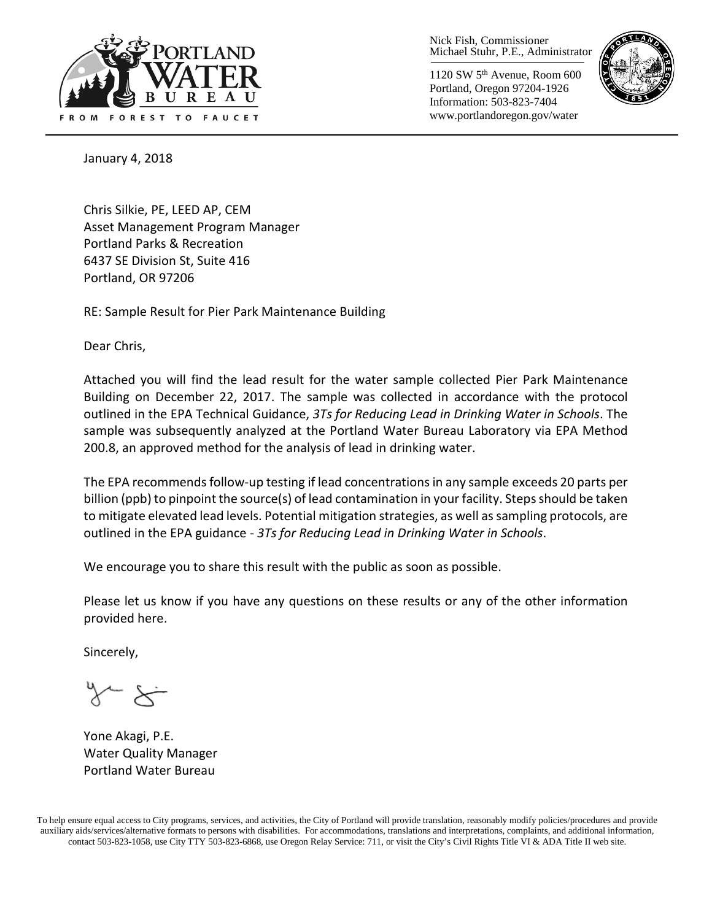

Nick Fish, Commissioner Michael Stuhr, P.E., Administrator

1120 SW 5th Avenue, Room 600 Portland, Oregon 97204-1926 Information: 503-823-7404 www.portlandoregon.gov/water



January 4, 2018

Chris Silkie, PE, LEED AP, CEM Asset Management Program Manager Portland Parks & Recreation 6437 SE Division St, Suite 416 Portland, OR 97206

RE: Sample Result for Pier Park Maintenance Building

Dear Chris,

Attached you will find the lead result for the water sample collected Pier Park Maintenance Building on December 22, 2017. The sample was collected in accordance with the protocol outlined in the EPA Technical Guidance, *3Ts for Reducing Lead in Drinking Water in Schools*. The sample was subsequently analyzed at the Portland Water Bureau Laboratory via EPA Method 200.8, an approved method for the analysis of lead in drinking water.

The EPA recommends follow-up testing if lead concentrations in any sample exceeds 20 parts per billion (ppb) to pinpoint the source(s) of lead contamination in your facility. Steps should be taken to mitigate elevated lead levels. Potential mitigation strategies, as well as sampling protocols, are outlined in the EPA guidance - *3Ts for Reducing Lead in Drinking Water in Schools*.

We encourage you to share this result with the public as soon as possible.

Please let us know if you have any questions on these results or any of the other information provided here.

Sincerely,

Yone Akagi, P.E. Water Quality Manager Portland Water Bureau

To help ensure equal access to City programs, services, and activities, the City of Portland will provide translation, reasonably modify policies/procedures and provide auxiliary aids/services/alternative formats to persons with disabilities. For accommodations, translations and interpretations, complaints, and additional information, contact 503-823-1058, use City TTY 503-823-6868, use Oregon Relay Service: 711, or visi[t the City's Civil Rights Title VI & ADA Title II web site.](http://www.portlandoregon.gov/oehr/66458)